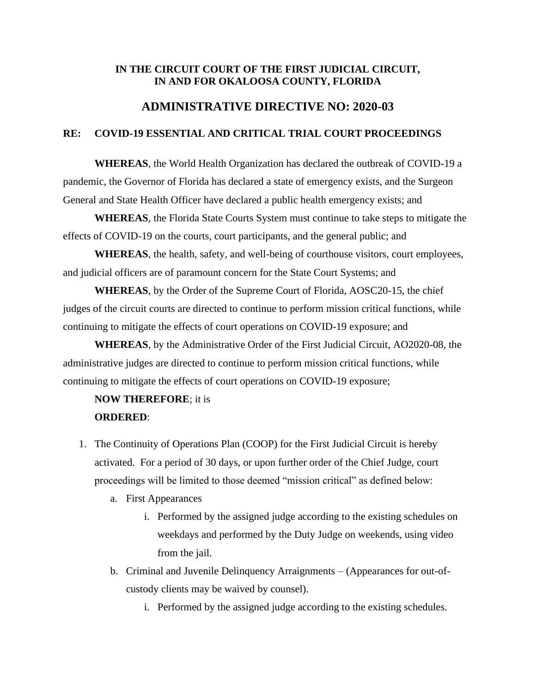### **IN THE CIRCUIT COURT OF THE FIRST JUDICIAL CIRCUIT, IN AND FOR OKALOOSA COUNTY, FLORIDA**

## **ADMINISTRATIVE DIRECTIVE NO: 2020-03**

### **RE: COVID-19 ESSENTIAL AND CRITICAL TRIAL COURT PROCEEDINGS**

**WHEREAS**, the World Health Organization has declared the outbreak of COVID-19 a pandemic, the Governor of Florida has declared a state of emergency exists, and the Surgeon General and State Health Officer have declared a public health emergency exists; and

**WHEREAS**, the Florida State Courts System must continue to take steps to mitigate the effects of COVID-19 on the courts, court participants, and the general public; and

**WHEREAS**, the health, safety, and well-being of courthouse visitors, court employees, and judicial officers are of paramount concern for the State Court Systems; and

**WHEREAS**, by the Order of the Supreme Court of Florida, AOSC20-15, the chief judges of the circuit courts are directed to continue to perform mission critical functions, while continuing to mitigate the effects of court operations on COVID-19 exposure; and

**WHEREAS**, by the Administrative Order of the First Judicial Circuit, AO2020-08, the administrative judges are directed to continue to perform mission critical functions, while continuing to mitigate the effects of court operations on COVID-19 exposure;

# **NOW THEREFORE**; it is **ORDERED**:

- 1. The Continuity of Operations Plan (COOP) for the First Judicial Circuit is hereby activated. For a period of 30 days, or upon further order of the Chief Judge, court proceedings will be limited to those deemed "mission critical" as defined below:
	- a. First Appearances
		- i. Performed by the assigned judge according to the existing schedules on weekdays and performed by the Duty Judge on weekends, using video from the jail.
	- b. Criminal and Juvenile Delinquency Arraignments (Appearances for out-ofcustody clients may be waived by counsel).
		- i. Performed by the assigned judge according to the existing schedules.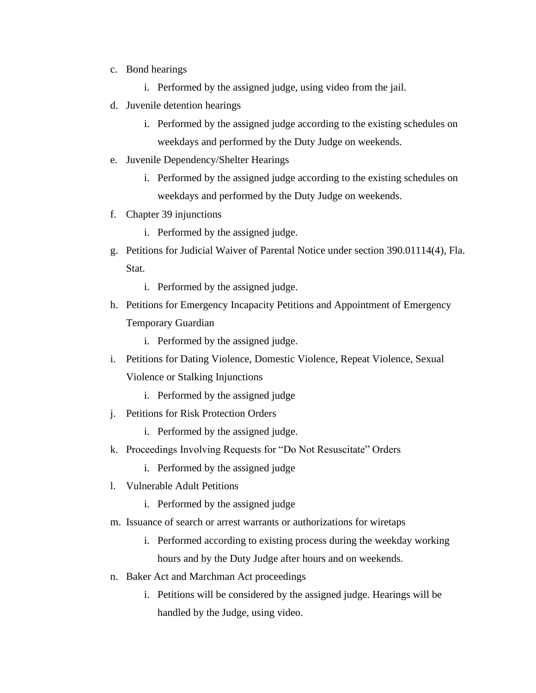- c. Bond hearings
	- i. Performed by the assigned judge, using video from the jail.
- d. Juvenile detention hearings
	- i. Performed by the assigned judge according to the existing schedules on weekdays and performed by the Duty Judge on weekends.
- e. Juvenile Dependency/Shelter Hearings
	- i. Performed by the assigned judge according to the existing schedules on weekdays and performed by the Duty Judge on weekends.
- f. Chapter 39 injunctions
	- i. Performed by the assigned judge.
- g. Petitions for Judicial Waiver of Parental Notice under section 390.01114(4), Fla. Stat.
	- i. Performed by the assigned judge.
- h. Petitions for Emergency Incapacity Petitions and Appointment of Emergency Temporary Guardian
	- i. Performed by the assigned judge.
- i. Petitions for Dating Violence, Domestic Violence, Repeat Violence, Sexual Violence or Stalking Injunctions
	- i. Performed by the assigned judge
- j. Petitions for Risk Protection Orders
	- i. Performed by the assigned judge.
- k. Proceedings Involving Requests for "Do Not Resuscitate" Orders
	- i. Performed by the assigned judge
- l. Vulnerable Adult Petitions
	- i. Performed by the assigned judge
- m. Issuance of search or arrest warrants or authorizations for wiretaps
	- i. Performed according to existing process during the weekday working hours and by the Duty Judge after hours and on weekends.
- n. Baker Act and Marchman Act proceedings
	- i. Petitions will be considered by the assigned judge. Hearings will be handled by the Judge, using video.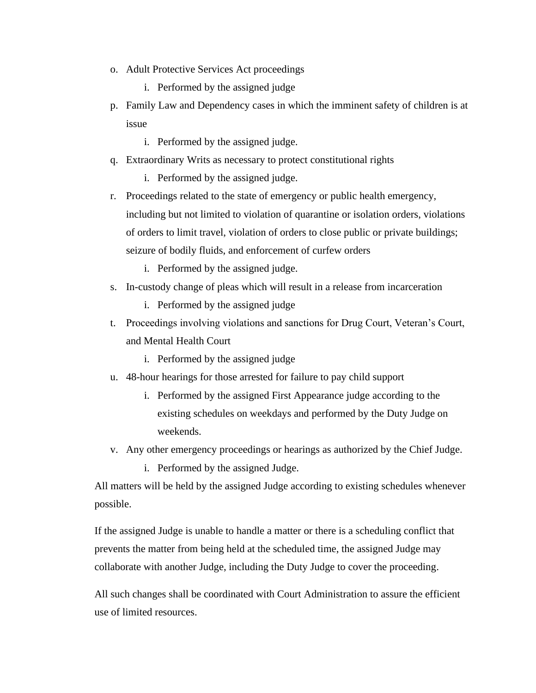- o. Adult Protective Services Act proceedings
	- i. Performed by the assigned judge
- p. Family Law and Dependency cases in which the imminent safety of children is at issue
	- i. Performed by the assigned judge.
- q. Extraordinary Writs as necessary to protect constitutional rights
	- i. Performed by the assigned judge.
- r. Proceedings related to the state of emergency or public health emergency, including but not limited to violation of quarantine or isolation orders, violations of orders to limit travel, violation of orders to close public or private buildings; seizure of bodily fluids, and enforcement of curfew orders
	- i. Performed by the assigned judge.
- s. In-custody change of pleas which will result in a release from incarceration
	- i. Performed by the assigned judge
- t. Proceedings involving violations and sanctions for Drug Court, Veteran's Court, and Mental Health Court
	- i. Performed by the assigned judge
- u. 48-hour hearings for those arrested for failure to pay child support
	- i. Performed by the assigned First Appearance judge according to the existing schedules on weekdays and performed by the Duty Judge on weekends.
- v. Any other emergency proceedings or hearings as authorized by the Chief Judge.
	- i. Performed by the assigned Judge.

All matters will be held by the assigned Judge according to existing schedules whenever possible.

If the assigned Judge is unable to handle a matter or there is a scheduling conflict that prevents the matter from being held at the scheduled time, the assigned Judge may collaborate with another Judge, including the Duty Judge to cover the proceeding.

All such changes shall be coordinated with Court Administration to assure the efficient use of limited resources.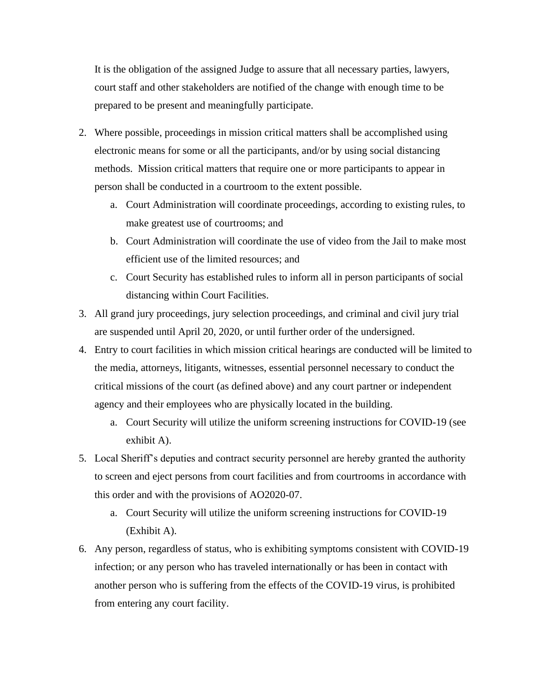It is the obligation of the assigned Judge to assure that all necessary parties, lawyers, court staff and other stakeholders are notified of the change with enough time to be prepared to be present and meaningfully participate.

- 2. Where possible, proceedings in mission critical matters shall be accomplished using electronic means for some or all the participants, and/or by using social distancing methods. Mission critical matters that require one or more participants to appear in person shall be conducted in a courtroom to the extent possible.
	- a. Court Administration will coordinate proceedings, according to existing rules, to make greatest use of courtrooms; and
	- b. Court Administration will coordinate the use of video from the Jail to make most efficient use of the limited resources; and
	- c. Court Security has established rules to inform all in person participants of social distancing within Court Facilities.
- 3. All grand jury proceedings, jury selection proceedings, and criminal and civil jury trial are suspended until April 20, 2020, or until further order of the undersigned.
- 4. Entry to court facilities in which mission critical hearings are conducted will be limited to the media, attorneys, litigants, witnesses, essential personnel necessary to conduct the critical missions of the court (as defined above) and any court partner or independent agency and their employees who are physically located in the building.
	- a. Court Security will utilize the uniform screening instructions for COVID-19 (see exhibit A).
- 5. Local Sheriff's deputies and contract security personnel are hereby granted the authority to screen and eject persons from court facilities and from courtrooms in accordance with this order and with the provisions of AO2020-07.
	- a. Court Security will utilize the uniform screening instructions for COVID-19 (Exhibit A).
- 6. Any person, regardless of status, who is exhibiting symptoms consistent with COVID-19 infection; or any person who has traveled internationally or has been in contact with another person who is suffering from the effects of the COVID-19 virus, is prohibited from entering any court facility.